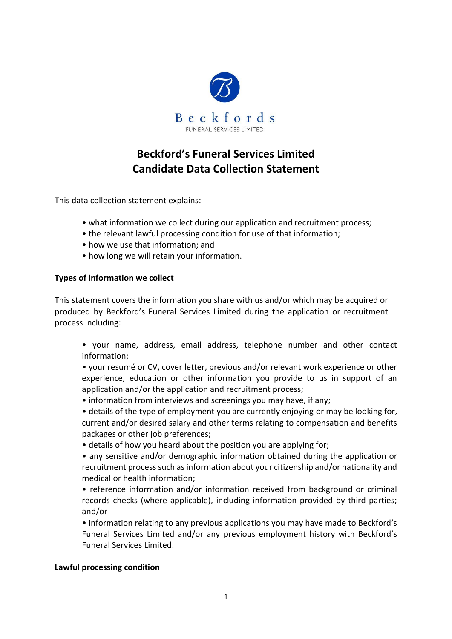

# **Beckford's Funeral Services Limited Candidate Data Collection Statement**

This data collection statement explains:

- what information we collect during our application and recruitment process;
- the relevant lawful processing condition for use of that information;
- how we use that information; and
- how long we will retain your information.

#### **Types of information we collect**

This statement covers the information you share with us and/or which may be acquired or produced by Beckford's Funeral Services Limited during the application or recruitment process including:

• your name, address, email address, telephone number and other contact information;

• your resumé or CV, cover letter, previous and/or relevant work experience or other experience, education or other information you provide to us in support of an application and/or the application and recruitment process;

- information from interviews and screenings you may have, if any;
- details of the type of employment you are currently enjoying or may be looking for, current and/or desired salary and other terms relating to compensation and benefits packages or other job preferences;
- details of how you heard about the position you are applying for;
- any sensitive and/or demographic information obtained during the application or recruitment process such as information about your citizenship and/or nationality and medical or health information;
- reference information and/or information received from background or criminal records checks (where applicable), including information provided by third parties; and/or
- information relating to any previous applications you may have made to Beckford's Funeral Services Limited and/or any previous employment history with Beckford's Funeral Services Limited.

## **Lawful processing condition**